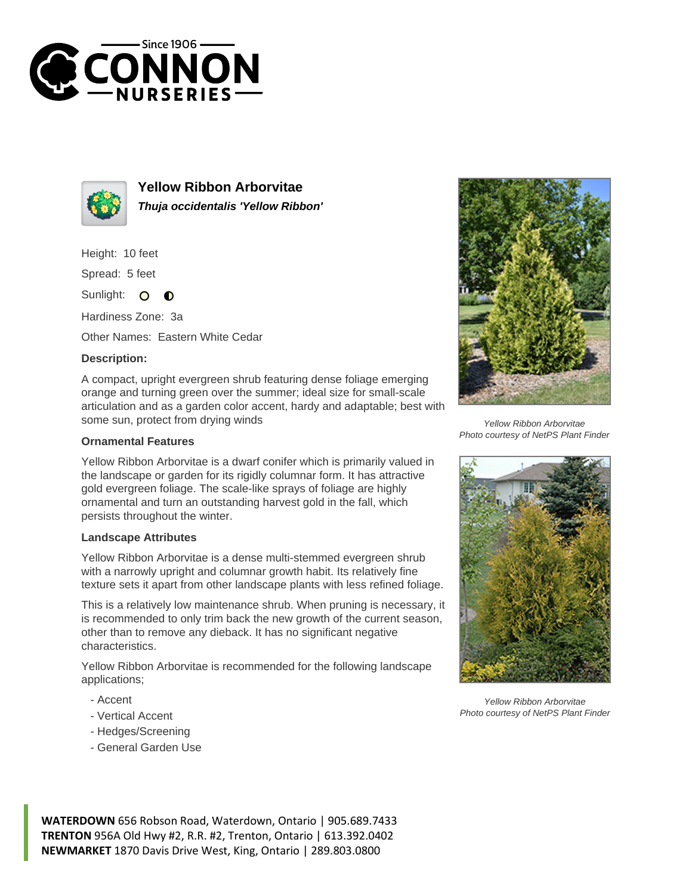



**Yellow Ribbon Arborvitae Thuja occidentalis 'Yellow Ribbon'**

Height: 10 feet

Spread: 5 feet

Sunlight: O  $\bullet$ 

Hardiness Zone: 3a

Other Names: Eastern White Cedar

## **Description:**

A compact, upright evergreen shrub featuring dense foliage emerging orange and turning green over the summer; ideal size for small-scale articulation and as a garden color accent, hardy and adaptable; best with some sun, protect from drying winds

## **Ornamental Features**

Yellow Ribbon Arborvitae is a dwarf conifer which is primarily valued in the landscape or garden for its rigidly columnar form. It has attractive gold evergreen foliage. The scale-like sprays of foliage are highly ornamental and turn an outstanding harvest gold in the fall, which persists throughout the winter.

## **Landscape Attributes**

Yellow Ribbon Arborvitae is a dense multi-stemmed evergreen shrub with a narrowly upright and columnar growth habit. Its relatively fine texture sets it apart from other landscape plants with less refined foliage.

This is a relatively low maintenance shrub. When pruning is necessary, it is recommended to only trim back the new growth of the current season, other than to remove any dieback. It has no significant negative characteristics.

Yellow Ribbon Arborvitae is recommended for the following landscape applications;

- Accent
- Vertical Accent
- Hedges/Screening
- General Garden Use



Yellow Ribbon Arborvitae Photo courtesy of NetPS Plant Finder



Yellow Ribbon Arborvitae Photo courtesy of NetPS Plant Finder

**WATERDOWN** 656 Robson Road, Waterdown, Ontario | 905.689.7433 **TRENTON** 956A Old Hwy #2, R.R. #2, Trenton, Ontario | 613.392.0402 **NEWMARKET** 1870 Davis Drive West, King, Ontario | 289.803.0800